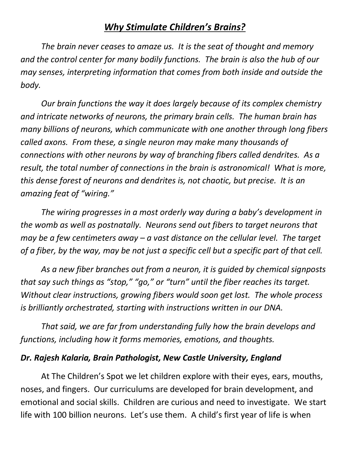## *Why Stimulate Children's Brains?*

*The brain never ceases to amaze us. It is the seat of thought and memory and the control center for many bodily functions. The brain is also the hub of our may senses, interpreting information that comes from both inside and outside the body.* 

*Our brain functions the way it does largely because of its complex chemistry and intricate networks of neurons, the primary brain cells. The human brain has many billions of neurons, which communicate with one another through long fibers called axons. From these, a single neuron may make many thousands of connections with other neurons by way of branching fibers called dendrites. As a result, the total number of connections in the brain is astronomical! What is more, this dense forest of neurons and dendrites is, not chaotic, but precise. It is an amazing feat of "wiring."*

*The wiring progresses in a most orderly way during a baby's development in the womb as well as postnatally. Neurons send out fibers to target neurons that may be a few centimeters away – a vast distance on the cellular level. The target of a fiber, by the way, may be not just a specific cell but a specific part of that cell.* 

*As a new fiber branches out from a neuron, it is guided by chemical signposts that say such things as "stop," "go," or "turn" until the fiber reaches its target. Without clear instructions, growing fibers would soon get lost. The whole process is brilliantly orchestrated, starting with instructions written in our DNA.* 

*That said, we are far from understanding fully how the brain develops and functions, including how it forms memories, emotions, and thoughts.* 

## *Dr. Rajesh Kalaria, Brain Pathologist, New Castle University, England*

At The Children's Spot we let children explore with their eyes, ears, mouths, noses, and fingers. Our curriculums are developed for brain development, and emotional and social skills. Children are curious and need to investigate. We start life with 100 billion neurons. Let's use them. A child's first year of life is when